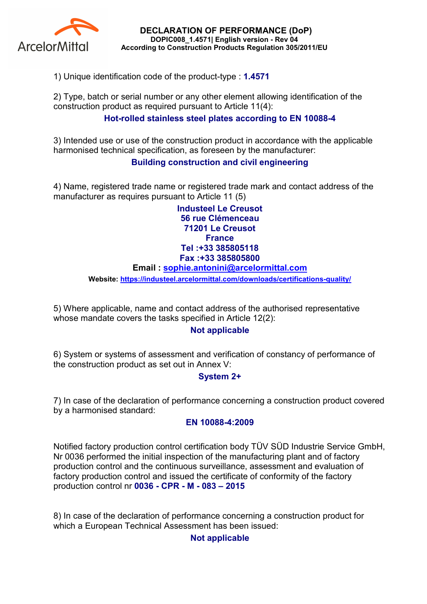

DECLARATION OF PERFORMANCE (DoP) DOPIC008\_1.4571| English version - Rev 04 According to Construction Products Regulation 305/2011/EU

1) Unique identification code of the product-type : 1.4571

2) Type, batch or serial number or any other element allowing identification of the construction product as required pursuant to Article 11(4):

# Hot-rolled stainless steel plates according to EN 10088-4

3) Intended use or use of the construction product in accordance with the applicable harmonised technical specification, as foreseen by the manufacturer:

## Building construction and civil engineering

4) Name, registered trade name or registered trade mark and contact address of the manufacturer as requires pursuant to Article 11 (5)

> Industeel Le Creusot 56 rue Clémenceau 71201 Le Creusot **France** Tel :+33 385805118 Fax :+33 385805800

#### Email : sophie.antonini@arcelormittal.com

Website: https://industeel.arcelormittal.com/downloads/certifications-quality/

5) Where applicable, name and contact address of the authorised representative whose mandate covers the tasks specified in Article 12(2):

### Not applicable

6) System or systems of assessment and verification of constancy of performance of the construction product as set out in Annex V:

### System 2+

7) In case of the declaration of performance concerning a construction product covered by a harmonised standard:

#### EN 10088-4:2009

Notified factory production control certification body TÜV SÜD Industrie Service GmbH, Nr 0036 performed the initial inspection of the manufacturing plant and of factory production control and the continuous surveillance, assessment and evaluation of factory production control and issued the certificate of conformity of the factory production control nr 0036 - CPR - M - 083 – 2015

8) In case of the declaration of performance concerning a construction product for which a European Technical Assessment has been issued:

### Not applicable